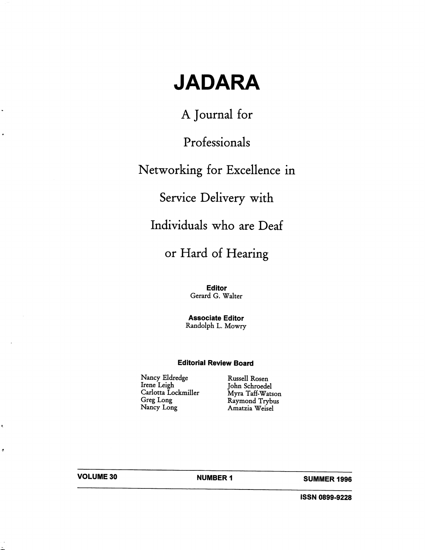# JADARA

A Journal for

Professionals

## Networking for Excellence in

Service Delivery with

Individuals who are Deaf

## or Hard of Hearing

Editor Gerard G. Walter

Associate Editor Randolph L. Mowry

#### Editorial Review Board

Nancy Eldredge Russell Rosen Irene Leigh John Schroedel Carlotta Lockmiller Myra Taff-Watson Greg Long Raymond Trybus<br>Nancy Long Amatzia Weisel

Amatzia Weisel

 $\ddot{\phantom{0}}$ 

a,

 $\bullet$ 

VOLUME 30 NUMBER 1 SUMMER 1996

iSSN 0899-9228